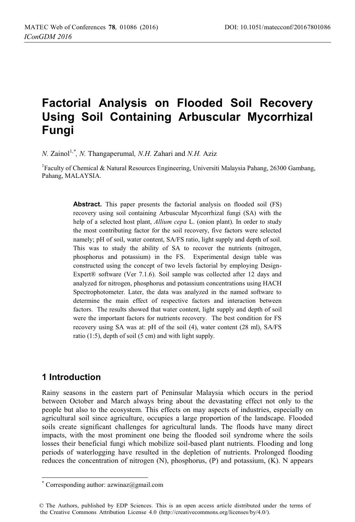# **Factorial Analysis on Flooded Soil Recovery Using Soil Containing Arbuscular Mycorrhizal Fungi**

*N.* Zainol<sup>1,\*</sup>, *N.* Thangaperumal, *N.H.* Zahari and *N.H.* Aziz

<sup>1</sup>Faculty of Chemical & Natural Resources Engineering, Universiti Malaysia Pahang, 26300 Gambang, Pahang, MALAYSIA.

> Abstract. This paper presents the factorial analysis on flooded soil (FS) recovery using soil containing Arbuscular Mycorrhizal fungi (SA) with the help of a selected host plant, *Allium cepa* L. (onion plant). In order to study the most contributing factor for the soil recovery, five factors were selected namely; pH of soil, water content, SA/FS ratio, light supply and depth of soil. This was to study the ability of SA to recover the nutrients (nitrogen, phosphorus and potassium) in the FS. Experimental design table was constructed using the concept of two levels factorial by employing Design-Expert® software (Ver 7.1.6). Soil sample was collected after 12 days and analyzed for nitrogen, phosphorus and potassium concentrations using HACH Spectrophotometer. Later, the data was analyzed in the named software to determine the main effect of respective factors and interaction between factors. The results showed that water content, light supply and depth of soil were the important factors for nutrients recovery. The best condition for FS recovery using SA was at: pH of the soil (4), water content (28 ml), SA/FS ratio (1:5), depth of soil (5 cm) and with light supply.

### **1 Introduction**

-

Rainy seasons in the eastern part of Peninsular Malaysia which occurs in the period between October and March always bring about the devastating effect not only to the people but also to the ecosystem. This effects on may aspects of industries, especially on agricultural soil since agriculture, occupies a large proportion of the landscape. Flooded soils create significant challenges for agricultural lands. The floods have many direct impacts, with the most prominent one being the flooded soil syndrome where the soils losses their beneficial fungi which mobilize soil-based plant nutrients. Flooding and long periods of waterlogging have resulted in the depletion of nutrients. Prolonged flooding reduces the concentration of nitrogen (N), phosphorus, (P) and potassium, (K). N appears

<sup>\*</sup> Corresponding author: azwinaz@gmail.com

<sup>©</sup> The Authors, published by EDP Sciences. This is an open access article distributed under the terms of the Creative Commons Attribution License 4.0 (http://creativecommons.org/licenses/by/4.0/).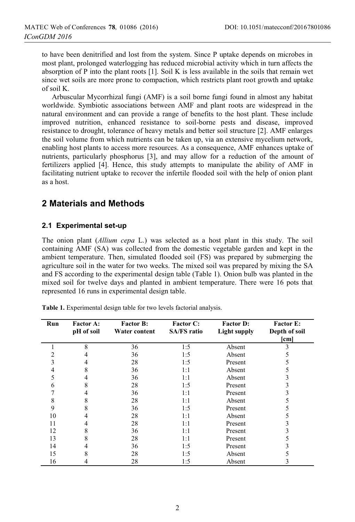to have been denitrified and lost from the system. Since P uptake depends on microbes in most plant, prolonged waterlogging has reduced microbial activity which in turn affects the absorption of P into the plant roots [1]. Soil K is less available in the soils that remain wet since wet soils are more prone to compaction, which restricts plant root growth and uptake of soil K.

Arbuscular Mycorrhizal fungi (AMF) is a soil borne fungi found in almost any habitat worldwide. Symbiotic associations between AMF and plant roots are widespread in the natural environment and can provide a range of benefits to the host plant. These include improved nutrition, enhanced resistance to soil-borne pests and disease, improved resistance to drought, tolerance of heavy metals and better soil structure [2]. AMF enlarges the soil volume from which nutrients can be taken up, via an extensive mycelium network, enabling host plants to access more resources. As a consequence, AMF enhances uptake of nutrients, particularly phosphorus [3], and may allow for a reduction of the amount of fertilizers applied [4]. Hence, this study attempts to manipulate the ability of AMF in facilitating nutrient uptake to recover the infertile flooded soil with the help of onion plant as a host.

## **2 Materials and Methods**

### **2.1 Experimental set-up**

The onion plant (*Allium cepa* L.) was selected as a host plant in this study. The soil containing AMF (SA) was collected from the domestic vegetable garden and kept in the ambient temperature. Then, simulated flooded soil (FS) was prepared by submerging the agriculture soil in the water for two weeks. The mixed soil was prepared by mixing the SA and FS according to the experimental design table (Table 1). Onion bulb was planted in the mixed soil for twelve days and planted in ambient temperature. There were 16 pots that represented 16 runs in experimental design table.

| Run | <b>Factor A:</b><br>pH of soil | <b>Factor B:</b><br>Water content | <b>Factor C:</b><br><b>SA/FS</b> ratio | <b>Factor D:</b><br><b>Light supply</b> | <b>Factor E:</b><br>Depth of soil |
|-----|--------------------------------|-----------------------------------|----------------------------------------|-----------------------------------------|-----------------------------------|
|     |                                |                                   |                                        |                                         | $[\text{cm}]$                     |
|     | 8                              | 36                                | 1:5                                    | Absent                                  | 3                                 |
|     |                                | 36                                | 1:5                                    | Absent                                  | 5                                 |
| 3   | 4                              | 28                                | 1:5                                    | Present                                 | 5                                 |
| 4   | 8                              | 36                                | 1:1                                    | Absent                                  | 5                                 |
| 5   | 4                              | 36                                | 1:1                                    | Absent                                  |                                   |
| 6   | 8                              | 28                                | 1:5                                    | Present                                 |                                   |
|     | 4                              | 36                                | 1:1                                    | Present                                 |                                   |
| 8   |                                | 28                                | 1:1                                    | Absent                                  |                                   |
| 9   | 8                              | 36                                | 1:5                                    | Present                                 |                                   |
| 10  | 4                              | 28                                | 1:1                                    | Absent                                  |                                   |
| 11  | 4                              | 28                                | 1:1                                    | Present                                 |                                   |
| 12  | 8                              | 36                                | 1:1                                    | Present                                 |                                   |
| 13  | 8                              | 28                                | 1:1                                    | Present                                 |                                   |
| 14  | 4                              | 36                                | 1:5                                    | Present                                 |                                   |
| 15  | 8                              | 28                                | 1:5                                    | Absent                                  |                                   |
| 16  |                                | 28                                | 1:5                                    | Absent                                  | 3                                 |

**Table 1.** Experimental design table for two levels factorial analysis.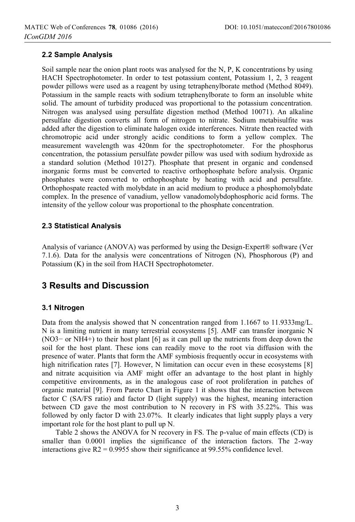### **2.2 Sample Analysis**

Soil sample near the onion plant roots was analysed for the N, P, K concentrations by using HACH Spectrophotometer. In order to test potassium content, Potassium 1, 2, 3 reagent powder pillows were used as a reagent by using tetraphenylborate method (Method 8049). Potassium in the sample reacts with sodium tetraphenylborate to form an insoluble white solid. The amount of turbidity produced was proportional to the potassium concentration. Nitrogen was analysed using persulfate digestion method (Method 10071). An alkaline persulfate digestion converts all form of nitrogen to nitrate. Sodium metabisulfite was added after the digestion to eliminate halogen oxide interferences. Nitrate then reacted with chromotropic acid under strongly acidic conditions to form a yellow complex. The measurement wavelength was 420nm for the spectrophotometer. For the phosphorus concentration, the potassium persulfate powder pillow was used with sodium hydroxide as a standard solution (Method 10127). Phosphate that present in organic and condensed inorganic forms must be converted to reactive orthophosphate before analysis. Organic phosphates were converted to orthophosphate by heating with acid and persulfate. Orthophospate reacted with molybdate in an acid medium to produce a phosphomolybdate complex. In the presence of vanadium, yellow vanadomolybdophosphoric acid forms. The intensity of the yellow colour was proportional to the phosphate concentration.

#### **2.3 Statistical Analysis**

Analysis of variance (ANOVA) was performed by using the Design-Expert® software (Ver 7.1.6). Data for the analysis were concentrations of Nitrogen (N), Phosphorous (P) and Potassium (K) in the soil from HACH Spectrophotometer.

### **3 Results and Discussion**

#### **3.1 Nitrogen**

Data from the analysis showed that N concentration ranged from 1.1667 to 11.9333mg/L. N is a limiting nutrient in many terrestrial ecosystems [5]. AMF can transfer inorganic N (NO3− or NH4+) to their host plant [6] as it can pull up the nutrients from deep down the soil for the host plant. These ions can readily move to the root via diffusion with the presence of water. Plants that form the AMF symbiosis frequently occur in ecosystems with high nitrification rates [7]. However, N limitation can occur even in these ecosystems [8] and nitrate acquisition via AMF might offer an advantage to the host plant in highly competitive environments, as in the analogous case of root proliferation in patches of organic material [9]. From Pareto Chart in Figure 1 it shows that the interaction between factor C (SA/FS ratio) and factor D (light supply) was the highest, meaning interaction between CD gave the most contribution to N recovery in FS with 35.22%. This was followed by only factor D with 23.07%. It clearly indicates that light supply plays a very important role for the host plant to pull up N.

Table 2 shows the ANOVA for N recovery in FS. The p-value of main effects (CD) is smaller than 0.0001 implies the significance of the interaction factors. The 2-way interactions give  $R2 = 0.9955$  show their significance at 99.55% confidence level.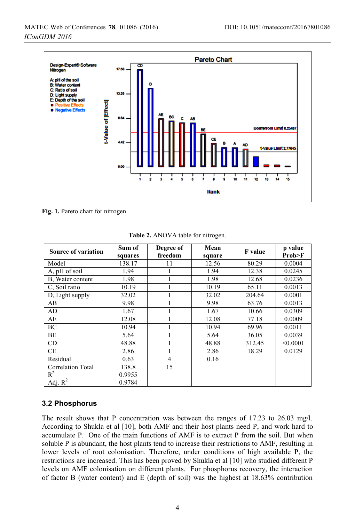

**Fig. 1.** Pareto chart for nitrogen.

| <b>Source of variation</b> | Sum of<br>squares | Degree of<br>freedom | Mean<br>square | F value | p value<br>Prob>F |
|----------------------------|-------------------|----------------------|----------------|---------|-------------------|
| Model                      | 138.17            | 11                   | 12.56          | 80.29   | 0.0004            |
| A, pH of soil              | 1.94              |                      | 1.94           | 12.38   | 0.0245            |
| B, Water content           | 1.98              |                      | 1.98           | 12.68   | 0.0236            |
| C, Soil ratio              | 10.19             |                      | 10.19          | 65.11   | 0.0013            |
| D, Light supply            | 32.02             |                      | 32.02          | 204.64  | 0.0001            |
| AB                         | 9.98              |                      | 9.98           | 63.76   | 0.0013            |
| AD                         | 1.67              |                      | 1.67           | 10.66   | 0.0309            |
| AE                         | 12.08             |                      | 12.08          | 77.18   | 0.0009            |
| BC                         | 10.94             |                      | 10.94          | 69.96   | 0.0011            |
| ΒE                         | 5.64              |                      | 5.64           | 36.05   | 0.0039            |
| CD                         | 48.88             |                      | 48.88          | 312.45  | < 0.0001          |
| CE                         | 2.86              |                      | 2.86           | 18.29   | 0.0129            |
| Residual                   | 0.63              | $\overline{4}$       | 0.16           |         |                   |
| <b>Correlation Total</b>   | 138.8             | 15                   |                |         |                   |
| $R^2$                      | 0.9955            |                      |                |         |                   |
| Adj. $R^2$                 | 0.9784            |                      |                |         |                   |

**Table 2.** ANOVA table for nitrogen.

### **3.2 Phosphorus**

The result shows that P concentration was between the ranges of 17.23 to 26.03 mg/l. According to Shukla et al [10], both AMF and their host plants need P, and work hard to accumulate P. One of the main functions of AMF is to extract P from the soil. But when soluble P is abundant, the host plants tend to increase their restrictions to AMF, resulting in lower levels of root colonisation. Therefore, under conditions of high available P, the restrictions are increased. This has been proved by Shukla et al [10] who studied different P levels on AMF colonisation on different plants. For phosphorus recovery, the interaction of factor B (water content) and E (depth of soil) was the highest at  $18.63\%$  contribution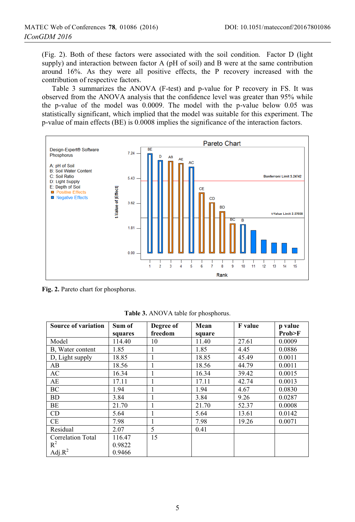(Fig. 2). Both of these factors were associated with the soil condition. Factor D (light supply) and interaction between factor A (pH of soil) and B were at the same contribution around 16%. As they were all positive effects, the P recovery increased with the contribution of respective factors.

Table 3 summarizes the ANOVA (F-test) and p-value for P recovery in FS. It was observed from the ANOVA analysis that the confidence level was greater than 95% while the p-value of the model was 0.0009. The model with the p-value below 0.05 was statistically significant, which implied that the model was suitable for this experiment. The p-value of main effects (BE) is 0.0008 implies the significance of the interaction factors.



**Fig. 2.** Pareto chart for phosphorus.

| <b>Source of variation</b> | Sum of  | Degree of | Mean   | F value | p value |
|----------------------------|---------|-----------|--------|---------|---------|
|                            | squares | freedom   | square |         | Prob>F  |
| Model                      | 114.40  | 10        | 11.40  | 27.61   | 0.0009  |
| B, Water content           | 1.85    | 1         | 1.85   | 4.45    | 0.0886  |
| D, Light supply            | 18.85   | 1         | 18.85  | 45.49   | 0.0011  |
| AB                         | 18.56   |           | 18.56  | 44.79   | 0.0011  |
| AC                         | 16.34   |           | 16.34  | 39.42   | 0.0015  |
| AE                         | 17.11   | 1         | 17.11  | 42.74   | 0.0013  |
| BC                         | 1.94    | 1         | 1.94   | 4.67    | 0.0830  |
| <b>BD</b>                  | 3.84    | 1         | 3.84   | 9.26    | 0.0287  |
| BE                         | 21.70   |           | 21.70  | 52.37   | 0.0008  |
| CD                         | 5.64    |           | 5.64   | 13.61   | 0.0142  |
| <b>CE</b>                  | 7.98    | 1         | 7.98   | 19.26   | 0.0071  |
| Residual                   | 2.07    | 5         | 0.41   |         |         |
| <b>Correlation Total</b>   | 116.47  | 15        |        |         |         |
| $R^2$                      | 0.9822  |           |        |         |         |
| Adj. $R^2$                 | 0.9466  |           |        |         |         |

**Table 3.** ANOVA table for phosphorus.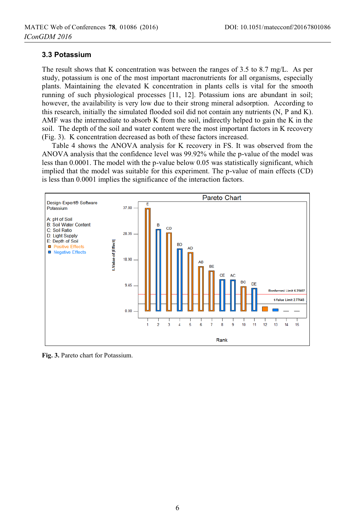#### **3.3 Potassium**

The result shows that K concentration was between the ranges of 3.5 to 8.7 mg/L. As per study, potassium is one of the most important macronutrients for all organisms, especially plants. Maintaining the elevated K concentration in plants cells is vital for the smooth running of such physiological processes [11, 12]. Potassium ions are abundant in soil; however, the availability is very low due to their strong mineral adsorption. According to this research, initially the simulated flooded soil did not contain any nutrients (N, P and K). AMF was the intermediate to absorb K from the soil, indirectly helped to gain the K in the soil. The depth of the soil and water content were the most important factors in K recovery (Fig. 3). K concentration decreased as both of these factors increased.

Table 4 shows the ANOVA analysis for K recovery in FS. It was observed from the ANOVA analysis that the confidence level was 99.92% while the p-value of the model was less than 0.0001. The model with the p-value below 0.05 was statistically significant, which implied that the model was suitable for this experiment. The p-value of main effects (CD) is less than 0.0001 implies the significance of the interaction factors.



**Fig. 3.** Pareto chart for Potassium.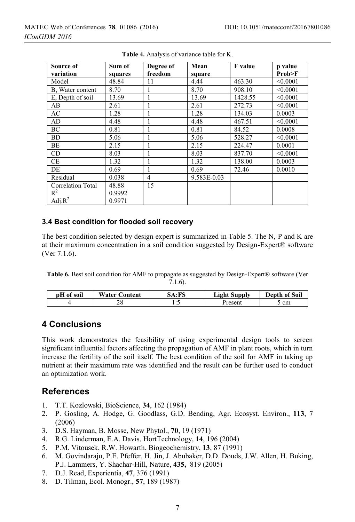| Source of         | Sum of  | Degree of | Mean        | F value | p value  |
|-------------------|---------|-----------|-------------|---------|----------|
| variation         | squares | freedom   | square      |         | Prob>F   |
| Model             | 48.84   | 11        | 4.44        | 463.30  | < 0.0001 |
| B, Water content  | 8.70    |           | 8.70        | 908.10  | < 0.0001 |
| E, Depth of soil  | 13.69   |           | 13.69       | 1428.55 | < 0.0001 |
| AB                | 2.61    | ш         | 2.61        | 272.73  | < 0.0001 |
| AC                | 1.28    | ш         | 1.28        | 134.03  | 0.0003   |
| AD                | 4.48    | I.        | 4.48        | 467.51  | < 0.0001 |
| BC                | 0.81    |           | 0.81        | 84.52   | 0.0008   |
| <b>BD</b>         | 5.06    |           | 5.06        | 528.27  | < 0.0001 |
| BE                | 2.15    |           | 2.15        | 224.47  | 0.0001   |
| CD                | 8.03    |           | 8.03        | 837.70  | < 0.0001 |
| CE                | 1.32    |           | 1.32        | 138.00  | 0.0003   |
| DE                | 0.69    |           | 0.69        | 72.46   | 0.0010   |
| Residual          | 0.038   | 4         | 9.583E-0.03 |         |          |
| Correlation Total | 48.88   | 15        |             |         |          |
| $R^2$             | 0.9992  |           |             |         |          |
| Adj. $R^2$        | 0.9971  |           |             |         |          |

**Table 4.** Analysis of variance table for K.

#### **3.4 Best condition for flooded soil recovery**

The best condition selected by design expert is summarized in Table 5. The N, P and K are at their maximum concentration in a soil condition suggested by Design-Expert® software (Ver 7.1.6).

**Table 6.** Best soil condition for AMF to propagate as suggested by Design-Expert® software (Ver

7.1.6).

| pH of soil | <b>Water Content</b> | 5A:FS | <b>Light Supply</b> | <b>Depth of Soil</b> |
|------------|----------------------|-------|---------------------|----------------------|
|            | 40                   | .     | Present             | cm                   |

# **4 Conclusions**

This work demonstrates the feasibility of using experimental design tools to screen significant influential factors affecting the propagation of AMF in plant roots, which in turn increase the fertility of the soil itself. The best condition of the soil for AMF in taking up nutrient at their maximum rate was identified and the result can be further used to conduct an optimization work.

# **References**

- 1. T.T. Kozlowski, BioScience, **34**, 162 (1984)
- 2. P. Gosling, A. Hodge, G. Goodlass, G.D. Bending, Agr. Ecosyst. Environ., **113**, 7 (2006)
- 3. D.S. Hayman, B. Mosse, New Phytol., **70**, 19 (1971)
- 4. R.G. Linderman, E.A. Davis, HortTechnology, **14**, 196 (2004)
- 5. P.M. Vitousek, R.W. Howarth, Biogeochemistry, **13**, 87 (1991)
- 6. M. Govindaraju, P.E. Pfeffer, H. Jin, J. Abubaker, D.D. Douds, J.W. Allen, H. Buking, P.J. Lammers, Y. Shachar-Hill, Nature, **435,** 819 (2005)
- 7. D.J. Read, Experientia, **47**, 376 (1991)
- 8. D. Tilman, Ecol. Monogr., **57**, 189 (1987)